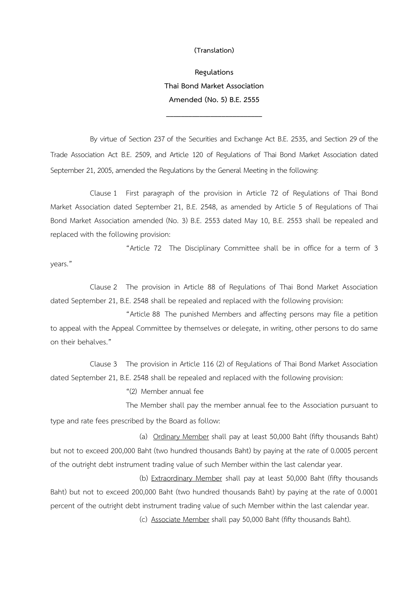**(Translation)**

**Regulations Thai Bond Market Association Amended (No. 5) B.E. 2555** 

**\_\_\_\_\_\_\_\_\_\_\_\_\_\_\_\_\_\_\_\_\_\_\_\_\_\_**

By virtue of Section 237 of the Securities and Exchange Act B.E. 2535, and Section 29 of the Trade Association Act B.E. 2509, and Article 120 of Regulations of Thai Bond Market Association dated September 21, 2005, amended the Regulations by the General Meeting in the following:

Clause 1 First paragraph of the provision in Article 72 of Regulations of Thai Bond Market Association dated September 21, B.E. 2548, as amended by Article 5 of Regulations of Thai Bond Market Association amended (No. 3) B.E. 2553 dated May 10, B.E. 2553 shall be repealed and replaced with the following provision:

"Article 72 The Disciplinary Committee shall be in office for a term of 3 years."

Clause 2 The provision in Article 88 of Regulations of Thai Bond Market Association dated September 21, B.E. 2548 shall be repealed and replaced with the following provision:

"Article 88 The punished Members and affecting persons may file a petition to appeal with the Appeal Committee by themselves or delegate, in writing, other persons to do same on their behalves."

Clause 3 The provision in Article 116 (2) of Regulations of Thai Bond Market Association dated September 21, B.E. 2548 shall be repealed and replaced with the following provision:

"(2) Member annual fee

The Member shall pay the member annual fee to the Association pursuant to type and rate fees prescribed by the Board as follow:

(a) Ordinary Member shall pay at least 50,000 Baht (fifty thousands Baht) but not to exceed 200,000 Baht (two hundred thousands Baht) by paying at the rate of 0.0005 percent of the outright debt instrument trading value of such Member within the last calendar year.

(b) Extraordinary Member shall pay at least 50,000 Baht (fifty thousands Baht) but not to exceed 200,000 Baht (two hundred thousands Baht) by paying at the rate of 0.0001 percent of the outright debt instrument trading value of such Member within the last calendar year.

(c) Associate Member shall pay 50,000 Baht (fifty thousands Baht).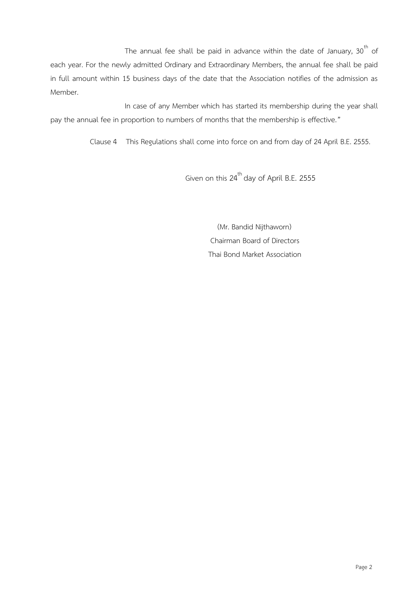The annual fee shall be paid in advance within the date of January,  $30<sup>th</sup>$  of each year. For the newly admitted Ordinary and Extraordinary Members, the annual fee shall be paid in full amount within 15 business days of the date that the Association notifies of the admission as Member.

In case of any Member which has started its membership during the year shall pay the annual fee in proportion to numbers of months that the membership is effective."

Clause 4 This Regulations shall come into force on and from day of 24 April B.E. 2555.

Given on this 24<sup>th</sup> day of April B.E. 2555

 (Mr. Bandid Nijthaworn) Chairman Board of Directors Thai Bond Market Association